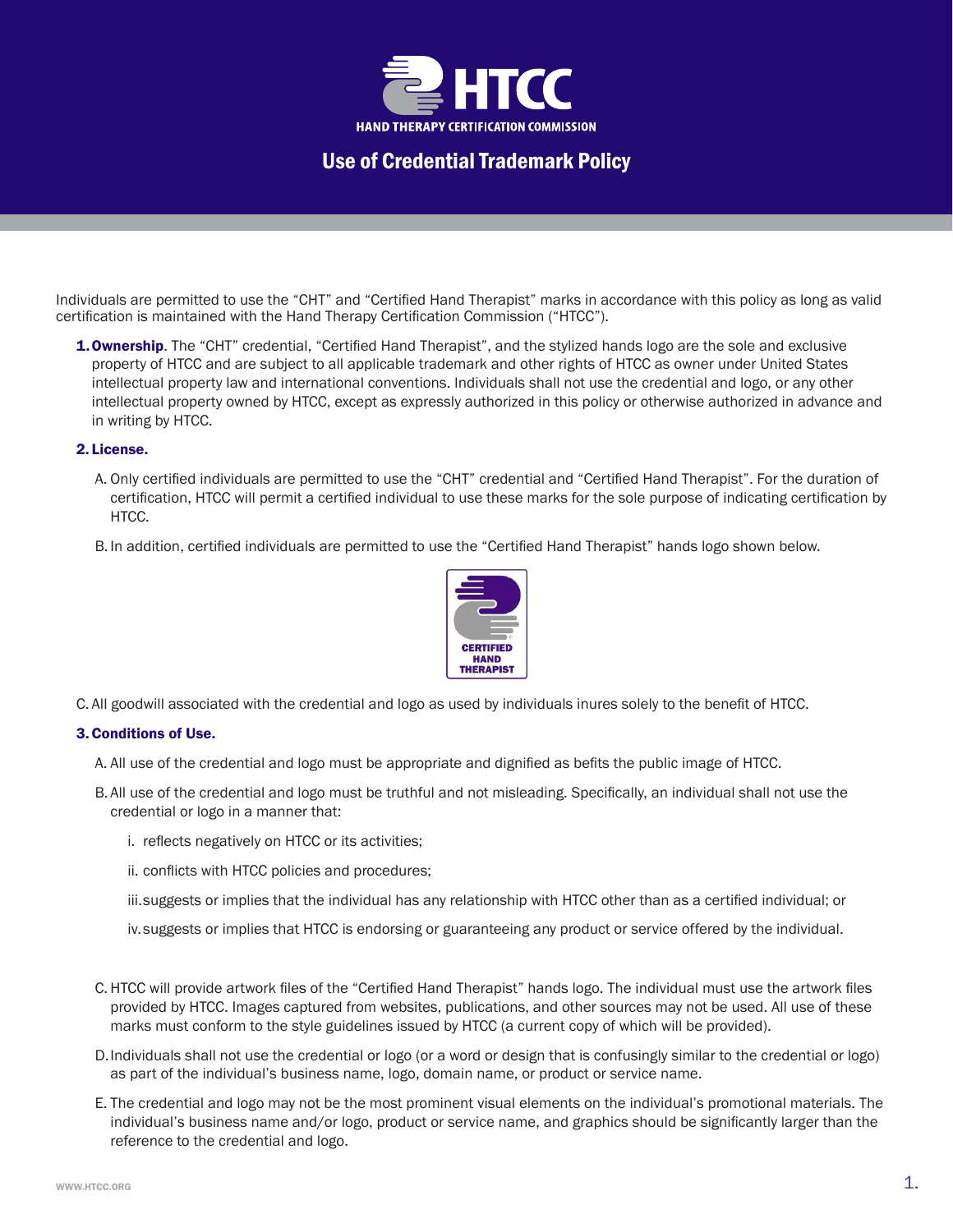

Use of Credential Trademark Policy

Individuals are permitted to use the "CHT" and "Certified Hand Therapist" marks in accordance with this policy as long as valid certification is maintained with the Hand Therapy Certification Commission ("HTCC").

**1. Ownership**. The "CHT" credential, "Certified Hand Therapist", and the stylized hands logo are the sole and exclusive property of HTCC and are subject to all applicable trademark and other rights of HTCC as owner under United States intellectual property law and international conventions. Individuals shall not use the credential and logo, or any other intellectual property owned by HTCC, except as expressly authorized in this policy or otherwise authorized in advance and in writing by HTCC.

## 2. License.

- A. Only certified individuals are permitted to use the "CHT" credential and "Certified Hand Therapist". For the duration of certification, HTCC will permit a certified individual to use these marks for the sole purpose of indicating certification by HTCC.
- B. In addition, certified individuals are permitted to use the "Certified Hand Therapist" hands logo shown below.



C. All goodwill associated with the credential and logo as used by individuals inures solely to the benefit of HTCC.

## 3. Conditions of Use.

- A. All use of the credential and logo must be appropriate and dignified as befits the public image of HTCC.
- B. All use of the credential and logo must be truthful and not misleading. Specifically, an individual shall not use the credential or logo in a manner that:
	- i. reflects negatively on HTCC or its activities;
	- ii. conflicts with HTCC policies and procedures;
	- iii.suggests or implies that the individual has any relationship with HTCC other than as a certified individual; or
	- iv.suggests or implies that HTCC is endorsing or guaranteeing any product or service offered by the individual.
- C. HTCC will provide artwork files of the "Certified Hand Therapist" hands logo. The individual must use the artwork files provided by HTCC. Images captured from websites, publications, and other sources may not be used. All use of these marks must conform to the style guidelines issued by HTCC (a current copy of which will be provided).
- D.Individuals shall not use the credential or logo (or a word or design that is confusingly similar to the credential or logo) as part of the individual's business name, logo, domain name, or product or service name.
- E. The credential and logo may not be the most prominent visual elements on the individual's promotional materials. The individual's business name and/or logo, product or service name, and graphics should be significantly larger than the reference to the credential and logo.